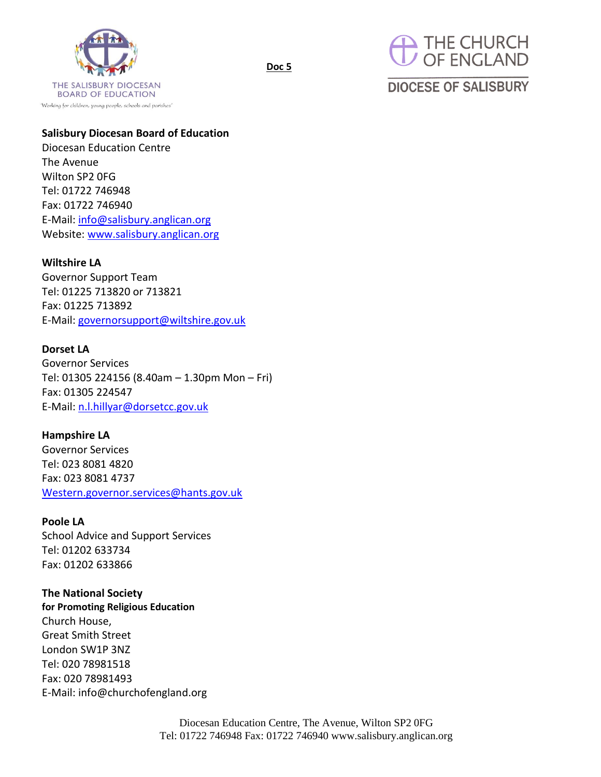



# **DIOCESE OF SALISBURY**

## **Salisbury Diocesan Board of Education**

**Doc 5**

Diocesan Education Centre The Avenue Wilton SP2 0FG Tel: 01722 746948 Fax: 01722 746940 E-Mail[: info@salisbury.anglican.org](mailto:info@salisbury.anglican.org) Website: [www.salisbury.anglican.org](http://www.salisbury.anglican.org/)

### **Wiltshire LA**

Governor Support Team Tel: 01225 713820 or 713821 Fax: 01225 713892 E-Mail[: governorsupport@wiltshire.gov.uk](mailto:governorsupport@wiltshire.gov.uk)

#### **Dorset LA**

Governor Services Tel: 01305 224156 (8.40am – 1.30pm Mon – Fri) Fax: 01305 224547 E-Mail[: n.l.hillyar@dorsetcc.gov.uk](mailto:n.l.hillyar@dorsetcc.gov.uk)

#### **Hampshire LA**

Governor Services Tel: 023 8081 4820 Fax: 023 8081 4737 [Western.governor.services@hants.gov.uk](mailto:Western.governor.services@hants.gov.uk)

#### **Poole LA**

School Advice and Support Services Tel: 01202 633734 Fax: 01202 633866

## **The National Society**

**for Promoting Religious Education** Church House, Great Smith Street London SW1P 3NZ Tel: 020 78981518 Fax: 020 78981493 E-Mail: info@churchofengland.org